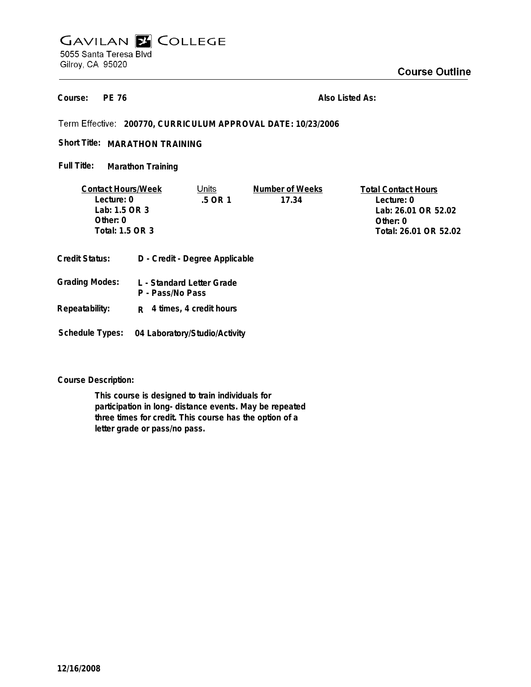## **GAVILAN E COLLEGE** 5055 Santa Teresa Blvd Gilroy, CA 95020

**PE 76 Course:**

**Also Listed As:**

**200770, CURRICULUM APPROVAL DATE: 10/23/2006**

Short Title: MARATHON TRAINING

**Marathon Training Full Title:**

| <b>Contact Hours/Week</b> |  | Units                          | Number of Weeks | <b>Total Contact Hours</b> |
|---------------------------|--|--------------------------------|-----------------|----------------------------|
| Lecture: 0                |  | .5 OR 1                        | 17.34           | Lecture: 0                 |
| Lab: 1.5 OR 3             |  |                                |                 | Lab: 26.01 OR 52.02        |
| Other: 0                  |  |                                |                 | Other: $0$                 |
| Total: 1.5 OR 3           |  |                                |                 | Total: 26.01 OR 52.02      |
| Credit Status:            |  | D - Credit - Degree Applicable |                 |                            |

| Grading Modes: | L - Standard Letter Grade<br>P - Pass/No Pass |
|----------------|-----------------------------------------------|
| Repeatability: | $R$ 4 times, 4 credit hours                   |

**Schedule Types: 04 Laboratory/Studio/Activity**

**Course Description:**

**This course is designed to train individuals for participation in long- distance events. May be repeated three times for credit. This course has the option of a letter grade or pass/no pass.**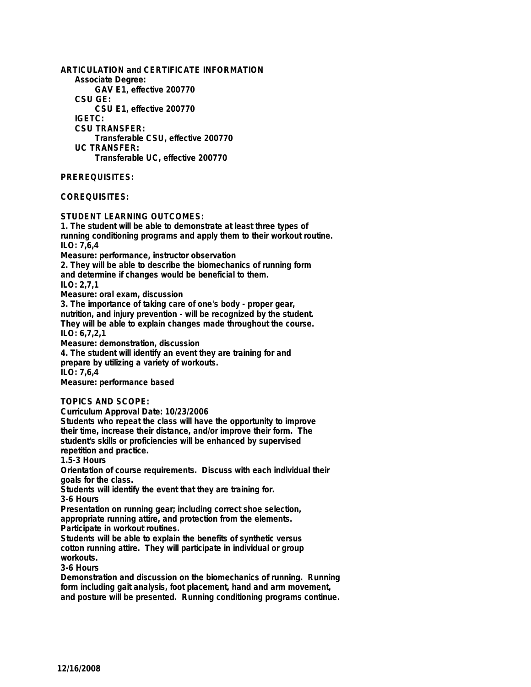**ARTICULATION and CERTIFICATE INFORMATION Associate Degree: GAV E1, effective 200770 CSU GE: CSU E1, effective 200770 IGETC: CSU TRANSFER: Transferable CSU, effective 200770 UC TRANSFER: Transferable UC, effective 200770 PREREQUISITES: COREQUISITES:**

**STUDENT LEARNING OUTCOMES:**

**1. The student will be able to demonstrate at least three types of running conditioning programs and apply them to their workout routine. ILO: 7,6,4 Measure: performance, instructor observation 2. They will be able to describe the biomechanics of running form and determine if changes would be beneficial to them. ILO: 2,7,1 Measure: oral exam, discussion 3. The importance of taking care of one's body - proper gear, nutrition, and injury prevention - will be recognized by the student. They will be able to explain changes made throughout the course. ILO: 6,7,2,1 Measure: demonstration, discussion 4. The student will identify an event they are training for and prepare by utilizing a variety of workouts. ILO: 7,6,4 Measure: performance based**

**TOPICS AND SCOPE:**

**Curriculum Approval Date: 10/23/2006**

**Students who repeat the class will have the opportunity to improve their time, increase their distance, and/or improve their form. The student's skills or proficiencies will be enhanced by supervised repetition and practice.**

**1.5-3 Hours**

**Orientation of course requirements. Discuss with each individual their goals for the class.**

**Students will identify the event that they are training for. 3-6 Hours**

**Presentation on running gear; including correct shoe selection, appropriate running attire, and protection from the elements. Participate in workout routines.**

**Students will be able to explain the benefits of synthetic versus cotton running attire. They will participate in individual or group workouts.**

**3-6 Hours**

**Demonstration and discussion on the biomechanics of running. Running form including gait analysis, foot placement, hand and arm movement, and posture will be presented. Running conditioning programs continue.**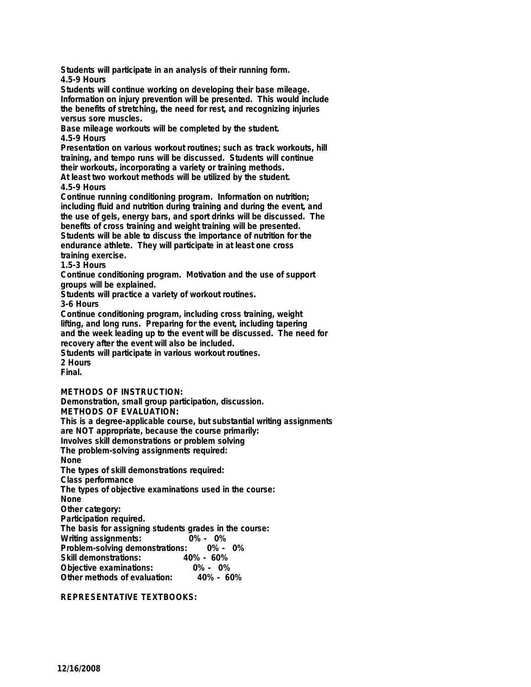**Students will participate in an analysis of their running form. 4.5-9 Hours**

**Students will continue working on developing their base mileage. Information on injury prevention will be presented. This would include the benefits of stretching, the need for rest, and recognizing injuries versus sore muscles.**

**Base mileage workouts will be completed by the student. 4.5-9 Hours**

**Presentation on various workout routines; such as track workouts, hill training, and tempo runs will be discussed. Students will continue their workouts, incorporating a variety or training methods.**

**At least two workout methods will be utilized by the student. 4.5-9 Hours**

Continue running conditioning program. Information on nutrition; **including fluid and nutrition during training and during the event, and the use of gels, energy bars, and sport drinks will be discussed. The benefits of cross training and weight training will be presented. Students will be able to discuss the importance of nutrition for the endurance athlete. They will participate in at least one cross training exercise.**

**1.5-3 Hours**

**Continue conditioning program. Motivation and the use of support groups will be explained.**

**Students will practice a variety of workout routines.**

**3-6 Hours**

**Continue conditioning program, including cross training, weight lifting, and long runs. Preparing for the event, including tapering and the week leading up to the event will be discussed. The need for recovery after the event will also be included. Students will participate in various workout routines.**

**2 Hours Final.**

**METHODS OF INSTRUCTION: Demonstration, small group participation, discussion.**

**METHODS OF EVALUATION:**

**This is a degree-applicable course, but substantial writing assignments**

**are NOT appropriate, because the course primarily:**

**Involves skill demonstrations or problem solving The problem-solving assignments required:**

**None**

**The types of skill demonstrations required:**

**Class performance**

**The types of objective examinations used in the course:**

**None**

**Other category:**

**Participation required.**

**The basis for assigning students grades in the course: Writing assignments:** 

**Problem-solving demonstrations: 0% - 0% Skill demonstrations: 40% - 60%**

**Objective examinations: 0% - 0% Other methods of evaluation:** 

**REPRESENTATIVE TEXTBOOKS:**